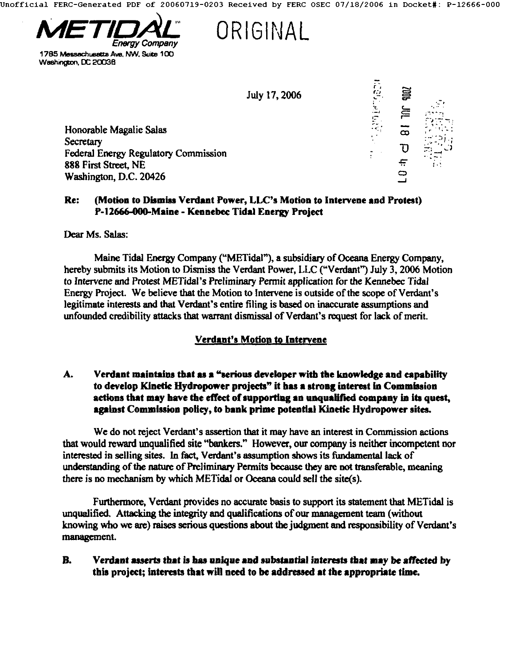Jnofflclal FERC-Generated PDF of 20060719-0203 Received by FERC OSEC *07/18/2006* in Docket#: P-12666-000



1785 Messachusetts Ave, NW, Suite 100 Washington, DC 20036

**ORIGINAL** 

July 17, 2006

Honorable Magalie Salas **Secretary** Federal Energy Regulatory Commission **888** First Street, **NE**  Washington, D.C. 20426



## **Re:** (Motion to Dismiss Verdant Power, LLC's Motion to Intervene and Protest) P-12666-000-Maine - Kennebec Tidal Energy Project

Dear Ms. Salas:

Maine Tidal Energy Company ("METidal"), a subsidiary of Oceana Energy Company, hereby submits its Motion to Dismiss the Verdant Power, LLC ("Verdant") July 3, 2006 Motion to Intervene and Protest METidal's Preliminary Permit application for the Kennebec Tidal Energy Project. We believe that the Motion to Intervene is outside of the scope of Verdam's legitimate interests and that Verdant's entire filing is based on inaccurate assumptions and unfounded credibility atlacks that warrant dismissal of Verdant's request for lack of merit

# **Verdant's Motion to Intervene**

#### A. Verdant maintains that as a "serious developer with the knowledge and capability to develop Kinetic Hydropower projects" it has a strong interest in Commission actions that may have the effect of supporting an unqualified company in its quest, against Commission policy, to bank prime potential Kinetic Hydropower sites.

We do not reject Verdant's assertion that it may have an interest in Commission actions that would reward unqualified site "bankers." However, our company is neither incompetent nor interested in selling sites. In fact, Verdant's assumption shows its fundamental lack of understanding of the nature of Preliminary Permits because they are not transferable, meaning there is no mechanism by which METidal or Oceana could sell the site(s).

Furthermore, Verdant provides no accurate basis to support its statement that METidal is unqualified. Attacking the integrity and qualifications of our management team (without knowing who we are) raises serious questions about the judgment and responsibility of Verdant's management.

### **B.** Verdant asserts that is has unique and substantial interests that may be affected by this project; interests that will need to be addressed at the appropriate time.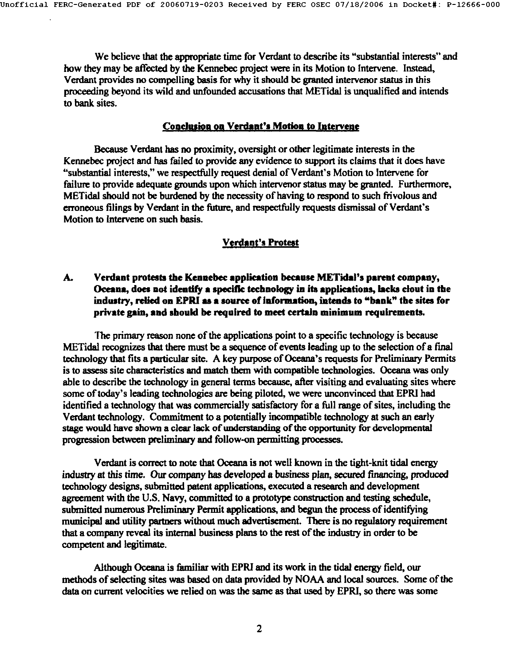We believe that the appropriate time for Verdant to describe its "substantial interests" and how they may be affected by the Kennebec project were in its Motion to Intervene. Instead, Verdant provides no compelling basis for why **it** should be granted intervenor status in this proceeding beyond its wild and unfounded accusations that METidal is unqualified and intends to bank sites.

#### **Conclusion on Verdant's Motion to Intervene**

Because Verdant has no proximity, oversight or other legitimate interests in the Kennebec project and has failed to provide any evidence to support its claims that it does have "substantial interests," we respectfully request denial of Verdant's Motion to Intervene for failure to provide adequate grounds upon which intervenor status may be granted. Furthermore, METidal should not be burdened by the necessity of having to respond to such frivolous and erroneous filings by Verdant in the future, and respectfully requests dismissal of Verdant's Motion to Intervene on such basis.

### **Verdant's Protest**

### A. **Verdant protests the Kennebec application because METidtl's parent company, Oceana, does not identify a specific technology in its applications, lacks clout in the**  industry, relied on EPRI as a source of information, intends to "bank" the sites for **private gain, and should be required to meet certain minimum requirements.**

The primary reason none of the applications point to a specific technology is because METidal recognizes that there must be a sequence of events leading up to the selection of a final technology that fits a particular site. A key purpose of Oceana's requests for Preliminary Permits is to assess site characteristics and match them with compatible technologies. Oceana was only able to describe the technology in general terms because, after visiting and evaluating sites where some of today's leading technologies are being piloted, we were unconvinced that EPRI had identified a technology that was commercially satisfactory for a full range of sites, including the Verdant technology. Commitment to a potentially incompatible technology at such an early stage would have shown a clear lack of understanding of the opportunity for developmental progression between pceliminary and follow-on permitting processes.

Verdant is correct to note that Oceana is not well known in the fight-knit tidal energy industry at this time. Our company has developed a business plan, secured financing, produced technology designs, submitted patent applications, executed a research and development agreement with the U.S. Navy, committed to a prototype construction and testing schedule, submitted numerous Preliminary Permit applications, and begun the process of identifying municipal and utility partners without much advertisement. There is no regulatory requirement that a company reveal its internal business plans to the rest of the industry in order to be competent and legitimate.

Although Oceana is familiar with EPRI and its work in the tidal energy field, our methods of selecting sites was based on data provided by NOAA and local sources. Some of the data on current velocities we relied on was the same as that used by EPRI, so there was some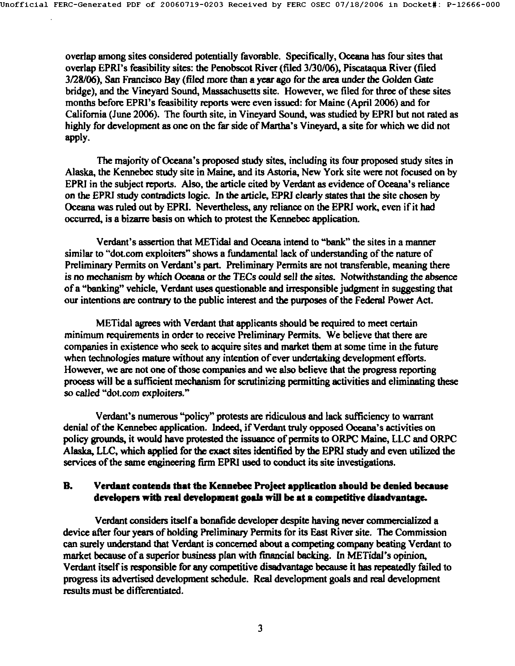overlap among sites considered potentially favorable. Specifically, Oceana has four sites that overlap EPRI's feasibility sites: the Penobscot River (filed 3/30/06), Piscataqua River (filed 3/28/06), San Francisco Bay (filed more than a year ago for the area under the Golden Gate bridge), and the Vineyard Sound, Massachusetts site. However, we filed for three of these sites months before EPRI's feasibility reports were even issued: for Maine (April 2006) and for California (June 2006). The fourth site, in Vineyard Sound, was studied by EPRI but not rated as highly for development as one on the far side of Martha's Vineyard, a site for which we did not apply.

The majority of Oceana's proposed study sites, including its four proposed study sites in Alaska, the Kennebec study site in Maine, and its Astoria, New York site were not focused on by EPRI in the subject reports. Also, the article cited by Verdant as evidence of Oceana's reliance on the EPRI study contradicts logic. In the article, EPRI clearly states that the site chosen by Oceana was ruled out by EPRI. Nevertheless, any reliance on the EPRI work, even if it had occurred, is a bizarre basis on which to protest the Kennebec application.

Verdant's assertion that METidal and Oceana intend to "bank" the sites in a manner similar to "dot.com exploiters" shows a fundamental lack of understanding of the nature of Preliminary Permits on Verdant's part. Preliminary Permits are not transferable, meaning there is no mechanism by which Oceana or the TECs could sell the sites. Notwithstanding the absence of a "banking" vehicle. Verdant uses questionable and irresponsible judgment in suggesting that our intentions are contrary to the public interest and the purposes of the Federal Power Act.

METidal agrees with Verdant that applicants should be required to meet certain minimum requirements in order to receive Preliminary Permits. We believe that there are companies in existence who seek to acquire sites and market them at some time in the future when technologies mature without any intention of ever undertaking development efforts. However, we are not one of those companies and we also believe that the progress reporting process will be a sufficient mechanism for scrutinizing permitting activities and eliminating these so called "dot.com exploiters."

Verdant's numerous "policy" protests are ridiculous and lack sufficiency to warrant denial of the Kennebec application. Indeed, if Verdant truly opposed Oceana's activities on policy grounds, it would have protested the issuance of permits to ORPC Maine, LLC and ORPC Alaska, LLC, which applied for the exact sites identified by the EPPd study and even utilized the services of the same engineering firm EPRI used to conduct its site investigations.

#### **B.** Verdant contends that the Kennebec Project application should be denied because developers with real development goals will be at a competitive disadvantage.

Verdant considers itselfa bonafide developer despite having never commercialized a device after four yesrs of holding Preliminary Permits for its East River site. The Commission can surely understand that Verdant is concerned about a competing company beating Verdant to market because of a superior business plan with financial backing. In METidal's opinion, Verdant itsolf is responsible for any competitive disadvantage because it has repeatedly failed to progress its advertised development schedule. Real development goals and real development results must be differentiated.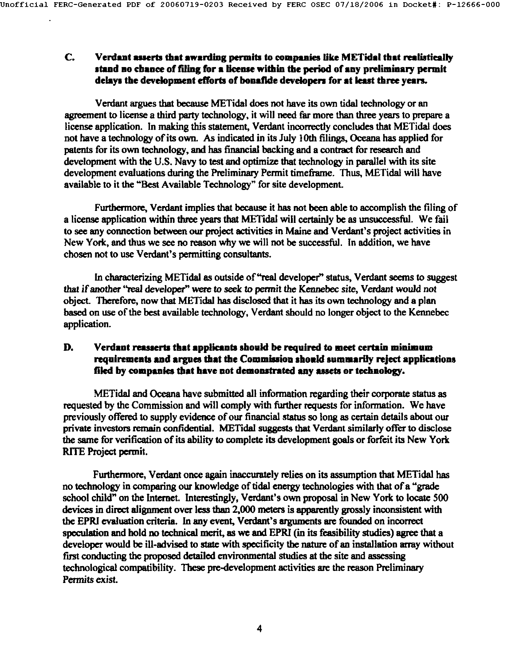#### C. Verdant asserts that awarding permits to companies like METidal that realistically stand no chance of filing for a license within the period of any preliminary permit delays **the development efforts of** benafide develepers for at least three years.

Verdant argues that because METidal does not have its own tidal technology or an agreement to license a third party technology, it will need far more than three years to prepare a license application. In making this statement, Verdant incorrectly concludes that METidal does not have a technology of its own. As indicated in its July 10th filings, Oceana has applied for patents for its own technology, and has financial backing and a contract for research and development with the U.S. Navy to test and optimize that technology in parallel with its site development evaluations during the Preliminary Permit timeframe. Thus, METidal will have available to it the "Best Available Technology" for site development.

Furthermore, Verdant implies that because it has not been able to accomplish the filing of a license application within three years that METidal will certainly be as unsuccessful. We fail to see any connection between our project activities in Maine and Verdant's project activities in New York, and thus we see no reason why we will not be successful. In addition, we have chosen not to use Verdant's permitting consultants.

In characterizing METidal as outside of "real developer" status, Verdant seems to suggest that if another "real developer" were to seek to permit the Kennebec site, Verdant would not object. Therefore, now that METidal has disclosed that it has its own technology and a plan based on use of the best available technology, Verdant should no longer object to the Kennebec application.

#### **D.** Verdant reasserts that applicants should be required to meet certain minimum requirements and argues that the Commission should summarily reject applications **filed by companies that have not demonstrated any assets or technology.**

METidal and Oceana have submitted all information regarding their corporate status as requested by the Commission and will comply with farther requests for information. We have previously offered to supply evidence of our financial status so long as certain details about our private investors remain confidential. METidal suggests that Verdant similarly offer to disclose the same for verification of its ability to complete its development goals or forfeit its New York RITE Project permit.

Furthermore, Verdant once again inaccurately relies on its assumption that METidal has no technology in comparing our knowledge of tidal energy technologies with that of a "grade school child" on the Internet. Interestingly, Verdant's own proposal in New York to locate 500 devices in direct alignment over less than 2,000 meters is apparently grossly inconsistent with the EPRI evaluation criteria. In any event, Verdant's arguments are founded on incorrect speculation and hold no technical merit, as we and EPRI (in its feasibility studies) agree that a developer would be ill-advised to state with specificity the nature of an installation array without first conducting the proposed detailed environmental studies at the site and assessing technological compatibility. These pre-development activities are the reason Preliminary Permits exist.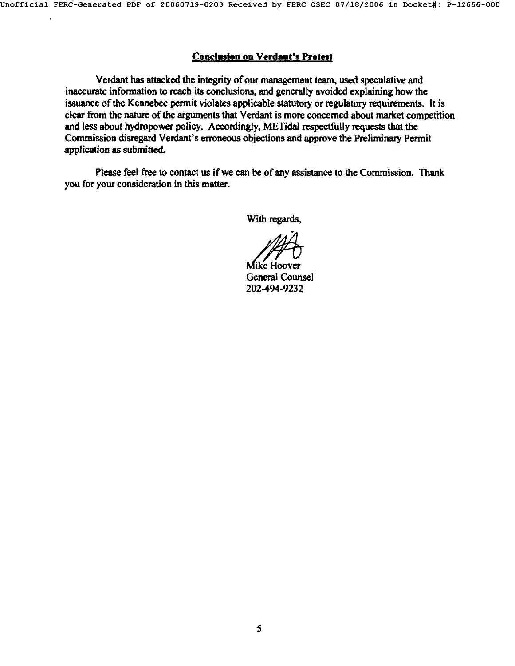#### Conclusion on Verdant's Protest

Verdant has attacked the integrity of our management team, used speculative and inaccurate information to reach its conclusions, and generally avoided explaining how the issuance of the Kennebec permit violates applicable statutory or regulatory requirements. It is clear from the nature of the arguments that Verdant is more concerned about market competition and less about hydropower policy. Accordingly, METidal respectfully requests that the Commission disregard Verdant's erroneous objections emd approve the Preliminary Permit application as submitted.

Please feel free to contact us if we can be of any assistance to the Commission. Thank you for your consideration in this matter.

With regards,

Mike Hoover General Counsel 202-494-9232